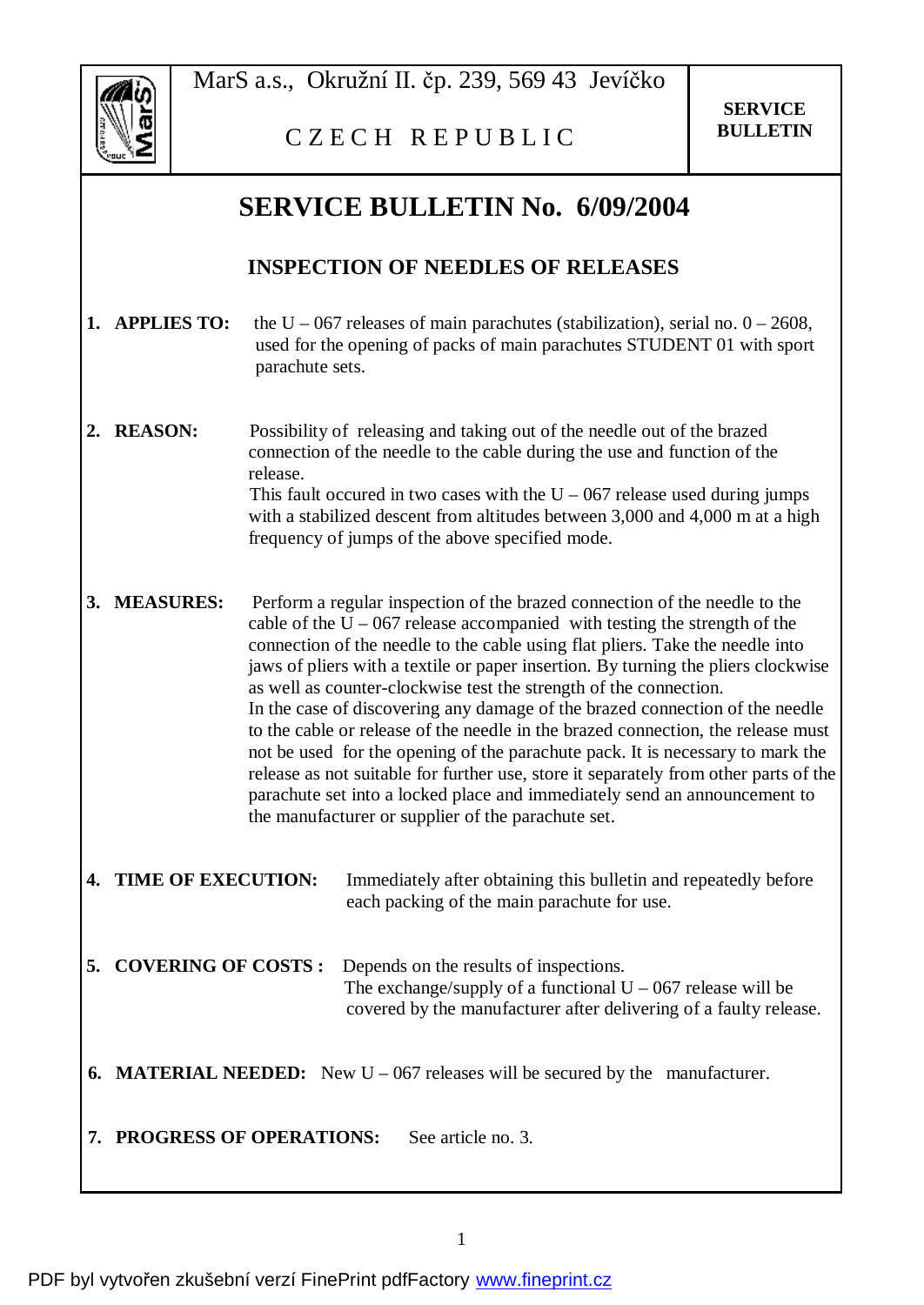

MarS a.s., Okružní II. čp. 239, 569 43 Jevíčko

C Z E C H R E P U B L I C

## **SERVICE BULLETIN No. 6/09/2004**

## **INSPECTION OF NEEDLES OF RELEASES**

- **1. APPLIES TO:** the U 067 releases of main parachutes (stabilization), serial no.  $0 2608$ . used for the opening of packs of main parachutes STUDENT 01 with sport parachute sets.
- **2. REASON:** Possibility of releasing and taking out of the needle out of the brazed connection of the needle to the cable during the use and function of the release. This fault occured in two cases with the  $U - 067$  release used during jumps with a stabilized descent from altitudes between 3,000 and 4,000 m at a high frequency of jumps of the above specified mode.
- **3. MEASURES:** Perform a regular inspection of the brazed connection of the needle to the cable of the  $U - 067$  release accompanied with testing the strength of the connection of the needle to the cable using flat pliers. Take the needle into jaws of pliers with a textile or paper insertion. By turning the pliers clockwise as well as counter-clockwise test the strength of the connection. In the case of discovering any damage of the brazed connection of the needle to the cable or release of the needle in the brazed connection, the release must not be used for the opening of the parachute pack. It is necessary to mark the release as not suitable for further use, store it separately from other parts of the parachute set into a locked place and immediately send an announcement to the manufacturer or supplier of the parachute set.
- **4. TIME OF EXECUTION:** Immediately after obtaining this bulletin and repeatedly before each packing of the main parachute for use.
- **5. COVERING OF COSTS :** Depends on the results of inspections. The exchange/supply of a functional  $U - 067$  release will be covered by the manufacturer after delivering of a faulty release.
- **6. MATERIAL NEEDED:** New U 067 releases will be secured by the manufacturer.

**7. PROGRESS OF OPERATIONS:** See article no. 3.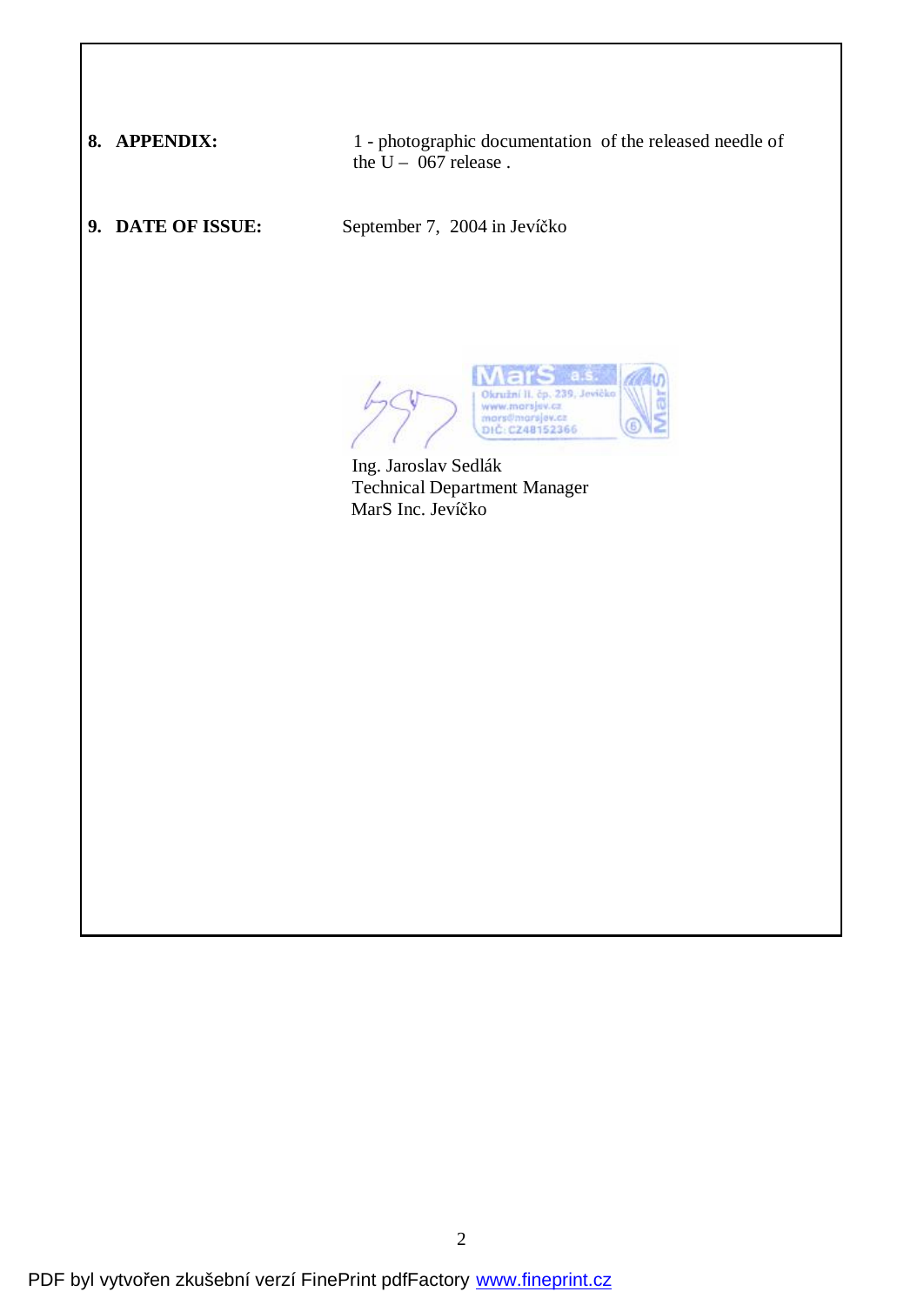**8. APPENDIX:** 1 - photographic documentation of the released needle of the  $U - 067$  release.

**9. DATE OF ISSUE:** September 7, 2004 in Jevíčko

Okružní II. čp 239 www.marsjev.cz mars@marsjev.c DIC: CZ48152366

 Ing. Jaroslav Sedlák Technical Department Manager MarS Inc. Jevíčko